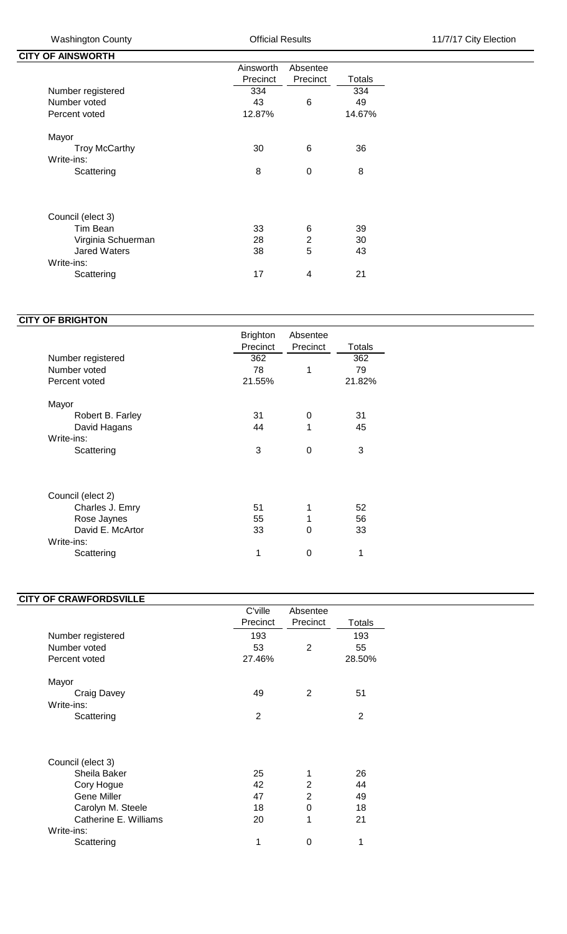**CITY OF AINSWORTH** 

|                      | Ainsworth | Absentee       |        |
|----------------------|-----------|----------------|--------|
|                      | Precinct  | Precinct       | Totals |
| Number registered    | 334       |                | 334    |
| Number voted         | 43        | 6              | 49     |
| Percent voted        | 12.87%    |                | 14.67% |
| Mayor                |           |                |        |
| <b>Troy McCarthy</b> | 30        | 6              | 36     |
| Write-ins:           |           |                |        |
| Scattering           | 8         | $\Omega$       | 8      |
|                      |           |                |        |
| Council (elect 3)    |           |                |        |
| Tim Bean             | 33        | 6              | 39     |
| Virginia Schuerman   | 28        | $\overline{2}$ | 30     |
| <b>Jared Waters</b>  | 38        | 5              | 43     |
| Write-ins:           |           |                |        |
| Scattering           | 17        | 4              | 21     |

## **CITY OF BRIGHTON**

| Precinct<br>362 | Precinct | Totals |
|-----------------|----------|--------|
|                 |          |        |
|                 |          | 362    |
| 78              | 1        | 79     |
| 21.55%          |          | 21.82% |
|                 |          |        |
| 31              | 0        | 31     |
| 44              | 1        | 45     |
|                 |          |        |
| 3               | 0        | 3      |
|                 |          |        |
|                 |          |        |
| 51              | 1        | 52     |
| 55              | 1        | 56     |
| 33              | 0        | 33     |
|                 |          |        |
|                 |          | 1      |
|                 | 1        | 0      |

## **CITY OF CRAWFORDSVILLE**

|                       | C'ville        | Absentee |               |
|-----------------------|----------------|----------|---------------|
|                       | Precinct       | Precinct | <b>Totals</b> |
| Number registered     | 193            |          | 193           |
| Number voted          | 53             | 2        | 55            |
| Percent voted         | 27.46%         |          | 28.50%        |
| Mayor                 |                |          |               |
| Craig Davey           | 49             | 2        | 51            |
| Write-ins:            |                |          |               |
| Scattering            | $\overline{2}$ |          | 2             |
|                       |                |          |               |
| Council (elect 3)     |                |          |               |
| Sheila Baker          | 25             | 1        | 26            |
| Cory Hogue            | 42             | 2        | 44            |
| <b>Gene Miller</b>    | 47             | 2        | 49            |
| Carolyn M. Steele     | 18             | 0        | 18            |
| Catherine E. Williams | 20             | 1        | 21            |
| Write-ins:            |                |          |               |
| Scattering            | 1              | 0        | 1             |
|                       |                |          |               |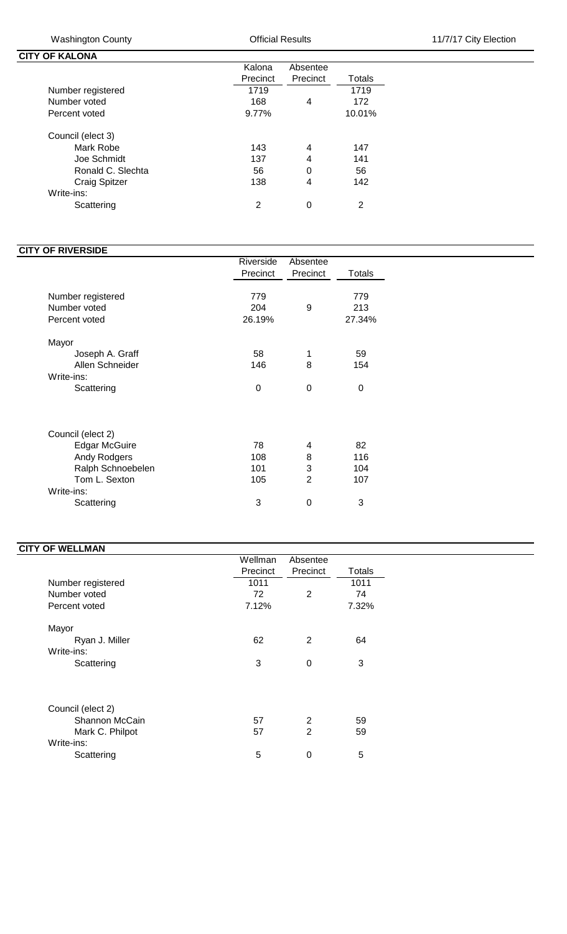**CITY OF KALONA**

|                      | Kalona   | Absentee |        |
|----------------------|----------|----------|--------|
|                      | Precinct | Precinct | Totals |
| Number registered    | 1719     |          | 1719   |
| Number voted         | 168      | 4        | 172    |
| Percent voted        | 9.77%    |          | 10.01% |
| Council (elect 3)    |          |          |        |
| Mark Robe            | 143      | 4        | 147    |
| Joe Schmidt          | 137      | 4        | 141    |
| Ronald C. Slechta    | 56       | 0        | 56     |
| <b>Craig Spitzer</b> | 138      | 4        | 142    |
| Write-ins:           |          |          |        |
| Scattering           | 2        | 0        | 2      |

## **CITY OF RIVERSIDE**

|                                                                                                                             | Riverside                    | Absentee                           |                              |
|-----------------------------------------------------------------------------------------------------------------------------|------------------------------|------------------------------------|------------------------------|
|                                                                                                                             | Precinct                     | Precinct                           | Totals                       |
| Number registered<br>Number voted<br>Percent voted                                                                          | 779<br>204<br>26.19%         | 9                                  | 779<br>213<br>27.34%         |
| Mayor<br>Joseph A. Graff<br>Allen Schneider<br>Write-ins:<br>Scattering                                                     | 58<br>146<br>0               | 1<br>8<br>$\Omega$                 | 59<br>154<br>$\Omega$        |
| Council (elect 2)<br><b>Edgar McGuire</b><br>Andy Rodgers<br>Ralph Schnoebelen<br>Tom L. Sexton<br>Write-ins:<br>Scattering | 78<br>108<br>101<br>105<br>3 | 4<br>8<br>3<br>$\overline{2}$<br>0 | 82<br>116<br>104<br>107<br>3 |

## **CITY OF WELLMAN**

|                   | Wellman  | Absentee     |        |  |
|-------------------|----------|--------------|--------|--|
|                   | Precinct | Precinct     | Totals |  |
| Number registered | 1011     |              | 1011   |  |
| Number voted      | 72       | 2            | 74     |  |
| Percent voted     | 7.12%    |              | 7.32%  |  |
| Mayor             |          |              |        |  |
| Ryan J. Miller    | 62       | 2            | 64     |  |
| Write-ins:        |          |              |        |  |
| Scattering        | 3        | $\Omega$     | 3      |  |
|                   |          |              |        |  |
| Council (elect 2) |          |              |        |  |
| Shannon McCain    | 57       | 2            | 59     |  |
| Mark C. Philpot   | 57       | $\mathbf{2}$ | 59     |  |
| Write-ins:        |          |              |        |  |
| Scattering        | 5        | 0            | 5      |  |
|                   |          |              |        |  |